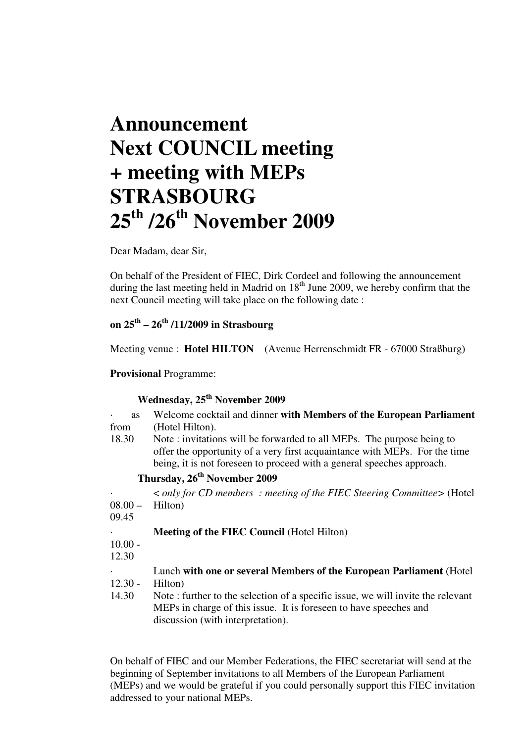## **Announcement Next COUNCIL meeting + meeting with MEPs STRASBOURG 25th /26th November 2009**

Dear Madam, dear Sir,

On behalf of the President of FIEC, Dirk Cordeel and following the announcement during the last meeting held in Madrid on 18<sup>th</sup> June 2009, we hereby confirm that the next Council meeting will take place on the following date :

## **on 25th – 26th /11/2009 in Strasbourg**

Meeting venue : **Hotel HILTON** (Avenue Herrenschmidt FR - 67000 Straßburg)

**Provisional** Programme:

## **Wednesday, 25th November 2009**

| <b>as</b><br>$\bullet$ | Welcome cocktail and dinner with Members of the European Parliament                                                                                                                                                            |
|------------------------|--------------------------------------------------------------------------------------------------------------------------------------------------------------------------------------------------------------------------------|
| from                   | (Hotel Hilton).                                                                                                                                                                                                                |
| 18.30                  | Note : invitations will be forwarded to all MEPs. The purpose being to<br>offer the opportunity of a very first acquaintance with MEPs. For the time<br>being, it is not foreseen to proceed with a general speeches approach. |
|                        | Thursday, 26 <sup>th</sup> November 2009                                                                                                                                                                                       |
|                        | $\langle$ only for CD members : meeting of the FIEC Steering Committee $\langle$ (Hotel                                                                                                                                        |
| $08.00 -$              | Hilton)                                                                                                                                                                                                                        |
| 09.45                  |                                                                                                                                                                                                                                |
|                        | <b>Meeting of the FIEC Council (Hotel Hilton)</b>                                                                                                                                                                              |
| $10.00 -$              |                                                                                                                                                                                                                                |
| 12.30                  |                                                                                                                                                                                                                                |
|                        | Lunch with one or several Members of the European Parliament (Hotel                                                                                                                                                            |
| $12.30 -$              | Hilton)                                                                                                                                                                                                                        |
| 14.30                  | Note: further to the selection of a specific issue, we will invite the relevant                                                                                                                                                |
|                        | MEPs in charge of this issue. It is foreseen to have speeches and                                                                                                                                                              |
|                        | discussion (with interpretation).                                                                                                                                                                                              |

On behalf of FIEC and our Member Federations, the FIEC secretariat will send at the beginning of September invitations to all Members of the European Parliament (MEPs) and we would be grateful if you could personally support this FIEC invitation addressed to your national MEPs.